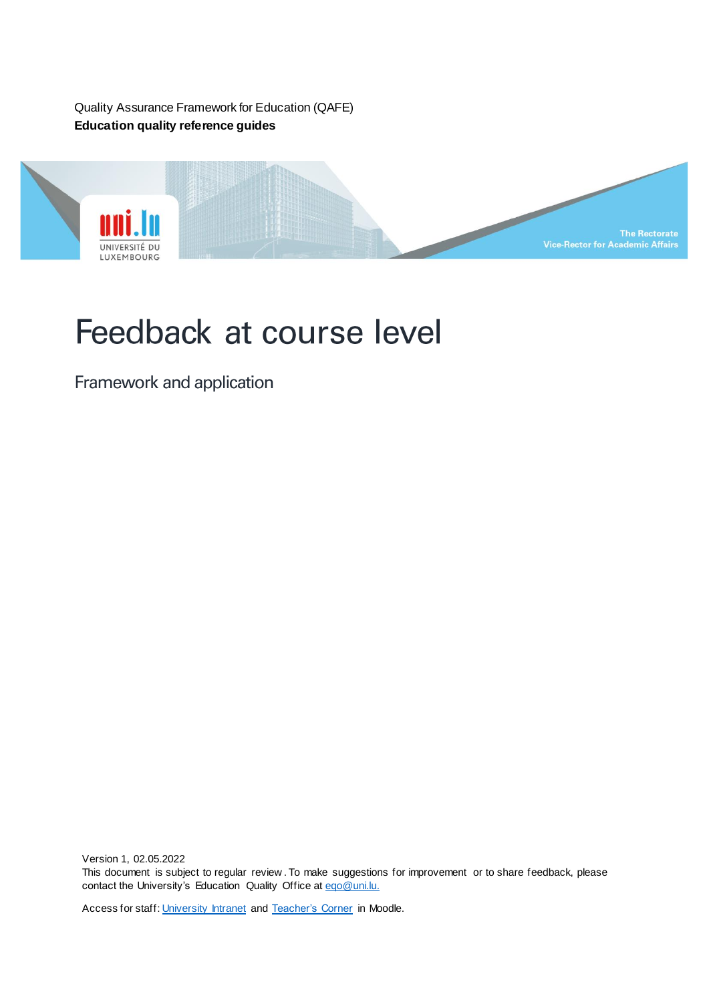Quality Assurance Framework for Education (QAFE) **Education quality reference guides**



# Feedback at course level

Framework and application

Version 1, 02.05.2022 This document is subject to regular review . To make suggestions for improvement or to share feedback, please contact the University's Education Quality Office at [eqo@uni.lu.](mailto:eqo@uni.lu)

Access for staff[: University Intranet](https://intranet.uni.lux/the_university/tr/Pages/VRA-Documents.aspx) an[d Teacher's Corner](https://moodle.uni.lu/course/view.php?id=3319) in Moodle.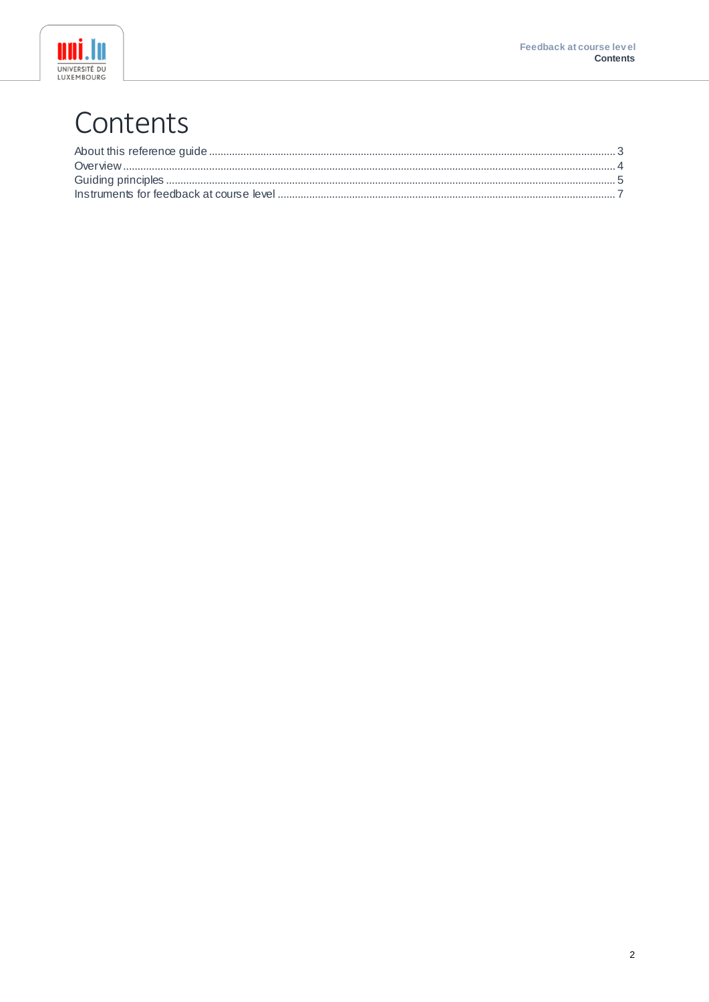



## Contents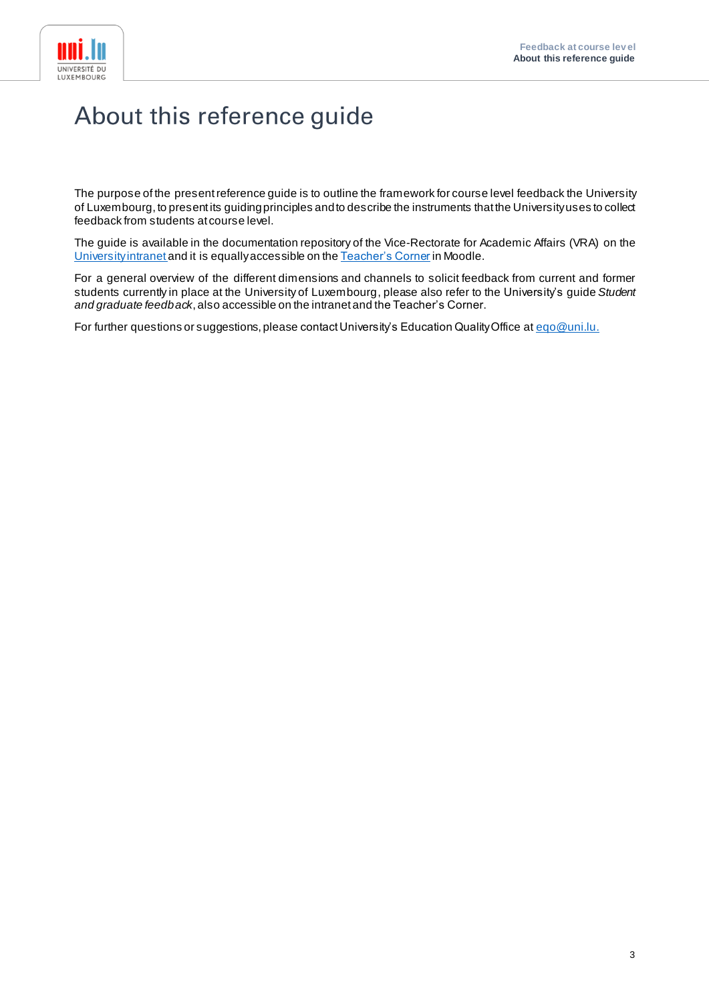

#### <span id="page-2-0"></span>About this reference guide

The purpose of the present reference guide is to outline the framework for course level feedback the University of Luxembourg, to present its guiding principles and to describe the instruments that the University uses to collect feedback from students at course level.

The guide is available in the documentation repository of the Vice-Rectorate for Academic Affairs (VRA) on the [University intranet](https://intranet.uni.lux/the_university/tr/Pages/VRA-Documents.aspx) and it is equallyaccessible on th[e Teacher's Corner](https://moodle.uni.lu/course/view.php?id=3319) in Moodle.

For a general overview of the different dimensions and channels to solicit feedback from current and former students currently in place at the University of Luxembourg, please also refer to the University's guide *Student and graduate feedback*, also accessible on the intranet and the Teacher's Corner.

For further questions or suggestions, please contact University's Education Quality Office at [eqo@uni.lu](mailto:eqo@uni.lu).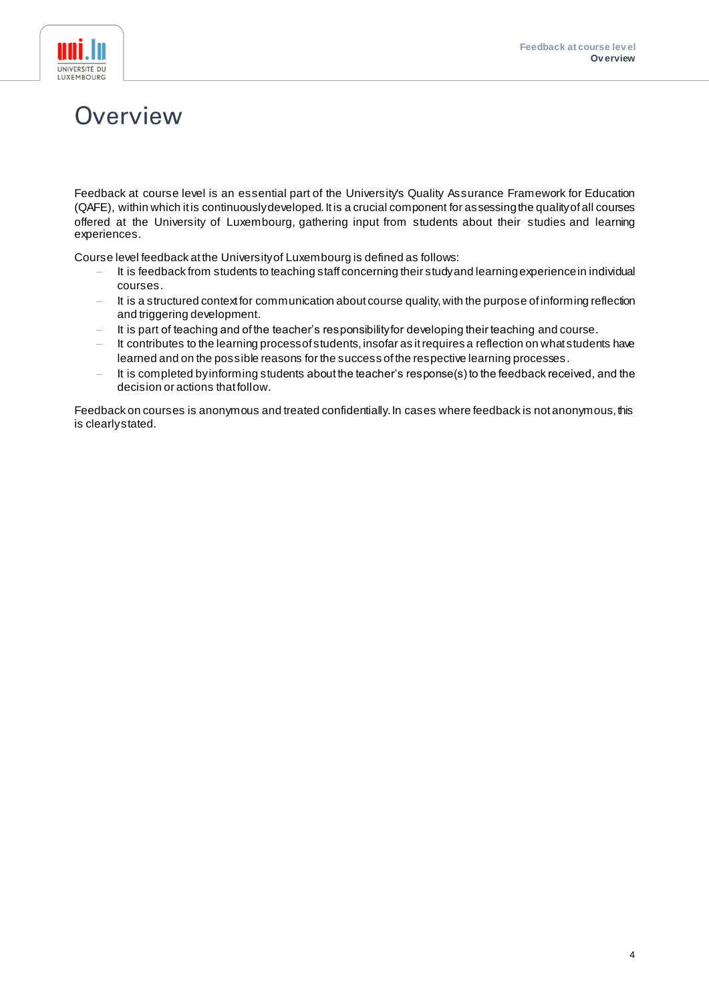

#### <span id="page-3-0"></span>Overview

Feedback at course level is an essential part of the University's Quality Assurance Framework for Education (QAFE), within which it is continuously developed. It is a crucial component for assessing the quality of all courses offered at the University of Luxembourg, gathering input from students about their studies and learning experiences.

Course level feedback at the University of Luxembourg is defined as follows:

- It is feedback from students to teaching staff concerning their study and learning experience in individual courses.
- It is a structured context for communication about course quality, with the purpose of informing reflection and triggering development.
- It is part of teaching and of the teacher's responsibility for developing their teaching and course.
- It contributes to the learning process of students, insofar as it requires a reflection on what students have learned and on the possible reasons for the success of the respective learning processes.
- It is completed by informing students about the teacher's response(s) to the feedback received, and the decision or actions that follow.

Feedback on courses is anonymous and treated confidentially. In cases where feedback is not anonymous, this is clearly stated.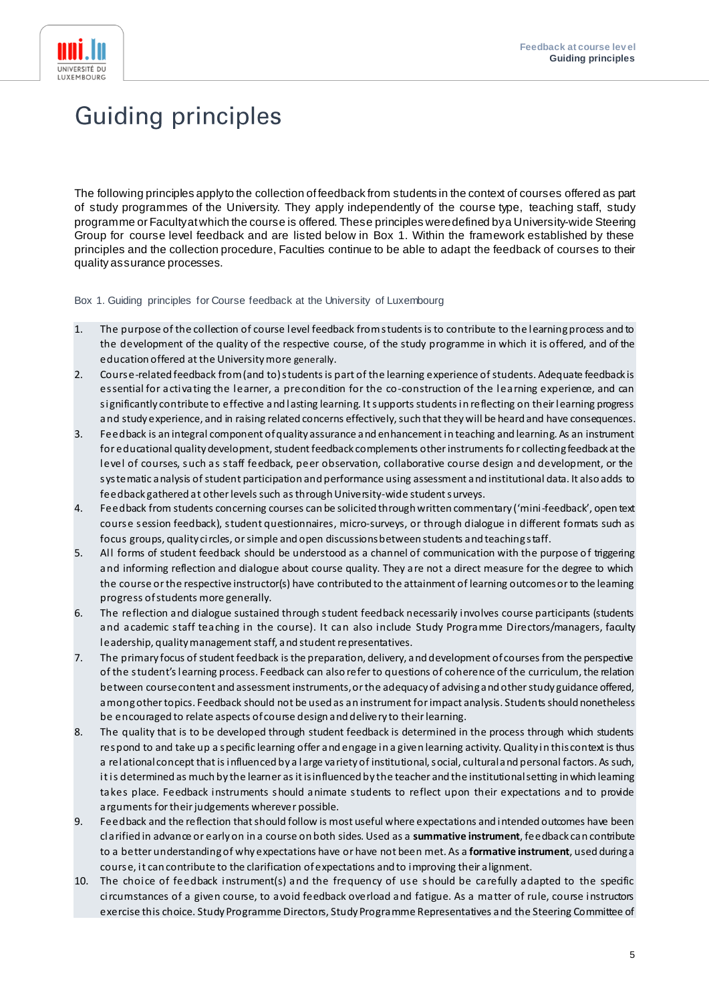

### <span id="page-4-0"></span>**Guiding principles**

The following principles apply to the collection of feedback from students in the context of courses offered as part of study programmes of the University. They apply independently of the course type, teaching staff, study programme or Faculty at which the course is offered. These principles were defined by a University-wide Steering Group for course level feedback and are listed below in Box 1. Within the framework established by these principles and the collection procedure, Faculties continue to be able to adapt the feedback of courses to their quality assurance processes.

Box 1. Guiding principles for Course feedback at the University of Luxembourg

- 1. The purpose of the collection of course level feedback from students is to contribute to the learning process and to the development of the quality of the respective course, of the study programme in which it is offered, and of the education offered at the University more generally.
- 2. Course-related feedback from (and to) students is part of the learning experience of students. Adequate feedback is essential for activating the learner, a precondition for the co-construction of the learning experience, and can significantly contribute to effective and lasting learning. It supports students in reflecting on their learning progress and study experience, and in raising related concerns effectively, such that they will be heard and have consequences.
- 3. Feedback is an integral component of quality assurance and enhancement in teaching and learning. As an instrument for educational quality development, student feedback complements other instruments fo r collecting feedback at the level of courses, such as staff feedback, peer observation, collaborative course design and development, or the systematic analysis of student participation and performance using assessment and institutional data. It also adds to feedback gathered at other levels such as through University-wide student surveys.
- 4. Feedback from students concerning courses can be solicited through written commentary ('mini-feedback', open text course session feedback), student questionnaires, micro-surveys, or through dialogue in different formats such as focus groups, quality circles, or simple and open discussions between students and teaching staff.
- 5. All forms of student feedback should be understood as a channel of communication with the purpose of triggering and informing reflection and dialogue about course quality. They are not a direct measure for the degree to which the course or the respective instructor(s) have contributed to the attainment of learning outcomes or to the learning progress ofstudents more generally.
- 6. The reflection and dialogue sustained through student feedback necessarily involves course participants (students and academic staff teaching in the course). It can also include Study Programme Directors/managers, faculty leadership, quality management staff, and student representatives.
- 7. The primary focus of student feedback is the preparation, delivery, and development of courses from the perspective of the student's learning process. Feedback can also refer to questions of coherence of the curriculum, the relation between course content and assessment instruments, or the adequacy of advising and other study guidance offered, among other topics. Feedback should not be used as an instrument for impact analysis. Students should nonetheless be encouraged to relate aspects of course design and delivery to their learning.
- 8. The quality that is to be developed through student feedback is determined in the process through which students respond to and take up a specific learning offer and engage in a given learning activity. Quality in this context is thus a relational concept that is influenced by a large variety of institutional, social, cultural and personal factors. As such, it is determined as much by the learner as it is influenced by the teacher and the institutional setting in which learning takes place. Feedback instruments should animate students to reflect upon their expectations and to provide arguments for their judgements wherever possible.
- 9. Feedback and the reflection that should follow is most useful where expectations and intended outcomes have been clarified in advance or early on in a course on both sides. Used as a **summative instrument**, feedback can contribute to a better understanding of why expectations have or have not been met. As a **formative instrument**, used during a course, it can contribute to the clarification of expectations and to improving their alignment.
- 10. The choice of feedback instrument(s) and the frequency of use should be carefully adapted to the specific circumstances of a given course, to avoid feedback overload and fatigue. As a matter of rule, course instructors exercise this choice. Study Programme Directors, Study Programme Representatives and the Steering Committee of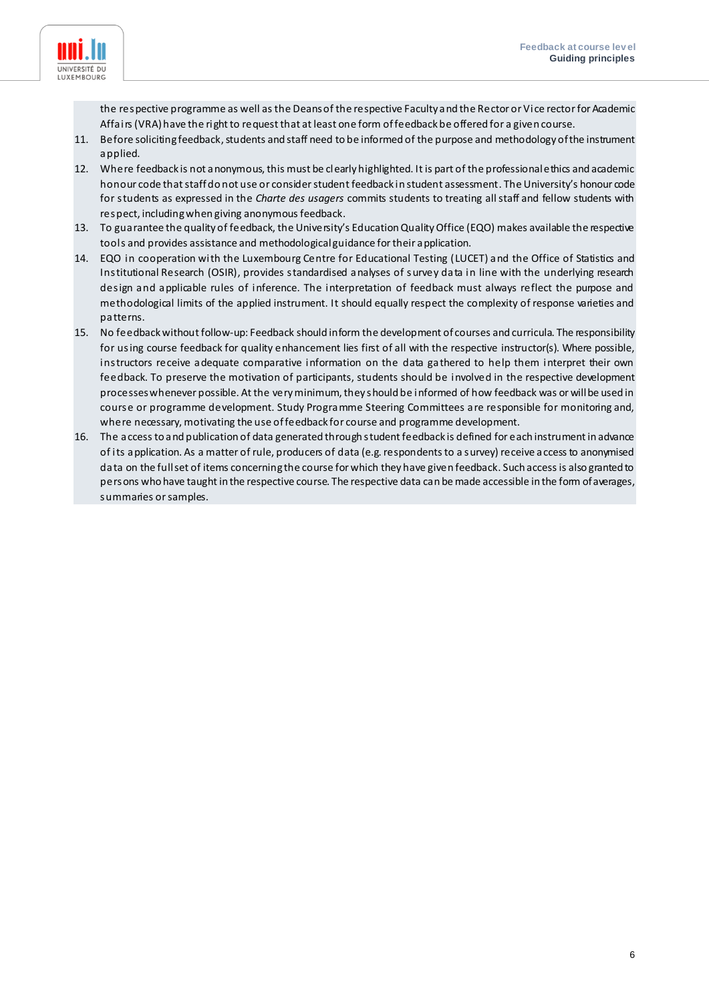

the respective programme as well as the Deans of the respective Faculty and the Rector or Vice rector for Academic Affairs (VRA)have the right to request that at least one form of feedback be offered for a given course.

- 11. Before soliciting feedback, students and staff need to be informed of the purpose and methodology of the instrument applied.
- 12. Where feedback is not anonymous, this must be clearly highlighted. It is part of the professional ethics and academic honour code that staff do not use or consider student feedback in student assessment. The University's honour code for students as expressed in the *Charte des usagers* commits students to treating all staff and fellow students with respect, including when giving anonymous feedback.
- 13. To guarantee the quality of feedback, the University's Education Quality Office (EQO) makes available the respective tools and provides assistance and methodological guidance for their application.
- 14. EQO in cooperation with the Luxembourg Centre for Educational Testing (LUCET) and the Office of Statistics and Institutional Research (OSIR), provides standardised analyses of survey data in line with the underlying research design and applicable rules of inference. The interpretation of feedback must always reflect the purpose and methodological limits of the applied instrument. It should equally respect the complexity of response varieties and patterns.
- 15. No feedback without follow-up: Feedback should inform the development of courses and curricula. The responsibility for using course feedback for quality enhancement lies first of all with the respective instructor(s). Where possible, instructors receive adequate comparative information on the data gathered to help them interpret their own feedback. To preserve the motivation of participants, students should be involved in the respective development processes whenever possible. At the very minimum, they should be informed of how feedback was or will be used in course or programme development. Study Programme Steering Committees are responsible for monitoring and, where necessary, motivating the use of feedback for course and programme development.
- 16. The access to and publication of data generated through student feedback is defined for each instrument in advance of its application. As a matter of rule, producers of data (e.g. respondents to a survey) receive access to anonymised data on the full set of items concerning the course for which they have given feedback. Such access is also granted to persons who have taught in the respective course. The respective data can be made accessible in the form of averages, summaries or samples.